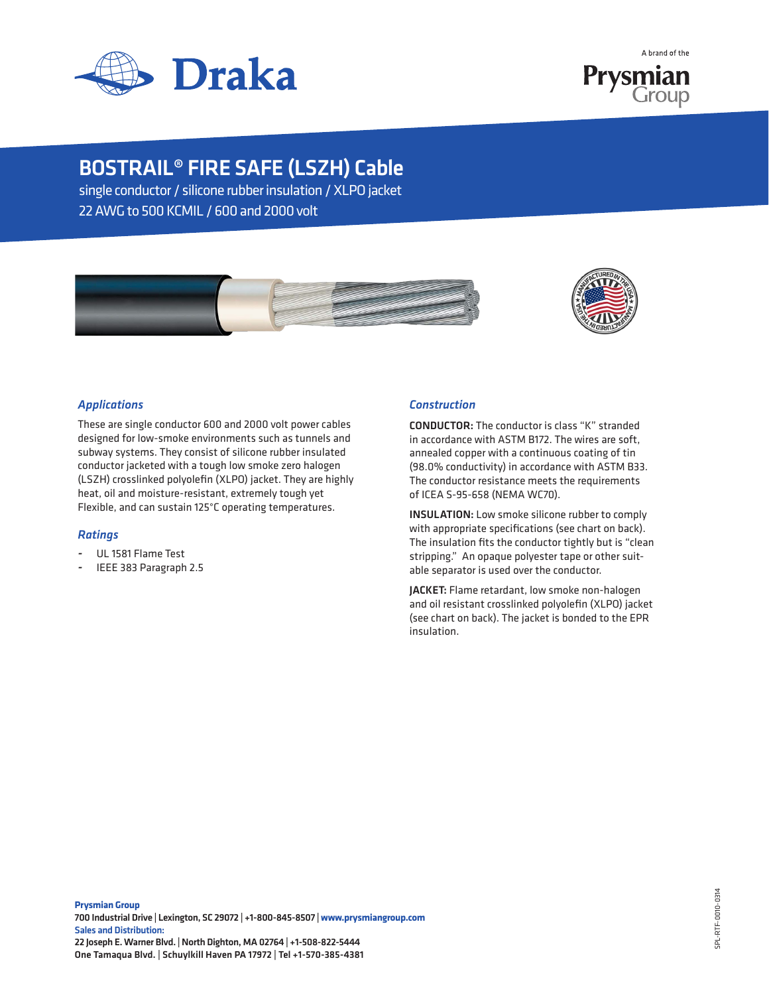

A brand of the Prysmian Group

# BOSTRAIL® FIRE SAFE (LSZH) Cable

single conductor / silicone rubber insulation / XLPO jacket 22 AWG to 500 KCMIL / 600 and 2000 volt





# *Applications*

These are single conductor 600 and 2000 volt power cables designed for low-smoke environments such as tunnels and subway systems. They consist of silicone rubber insulated conductor jacketed with a tough low smoke zero halogen (LSZH) crosslinked polyolefin (XLPO) jacket. They are highly heat, oil and moisture-resistant, extremely tough yet Flexible, and can sustain 125°C operating temperatures.

## *Ratings*

- UL 1581 Flame Test
- IEEE 383 Paragraph 2.5

## *Construction*

CONDUCTOR: The conductor is class "K" stranded in accordance with ASTM B172. The wires are soft, annealed copper with a continuous coating of tin (98.0% conductivity) in accordance with ASTM B33. The conductor resistance meets the requirements of ICEA S-95-658 (NEMA WC70).

INSULATION: Low smoke silicone rubber to comply with appropriate specifications (see chart on back). The insulation fits the conductor tightly but is "clean stripping." An opaque polyester tape or other suitable separator is used over the conductor.

JACKET: Flame retardant, low smoke non-halogen and oil resistant crosslinked polyolefin (XLPO) jacket (see chart on back). The jacket is bonded to the EPR insulation.